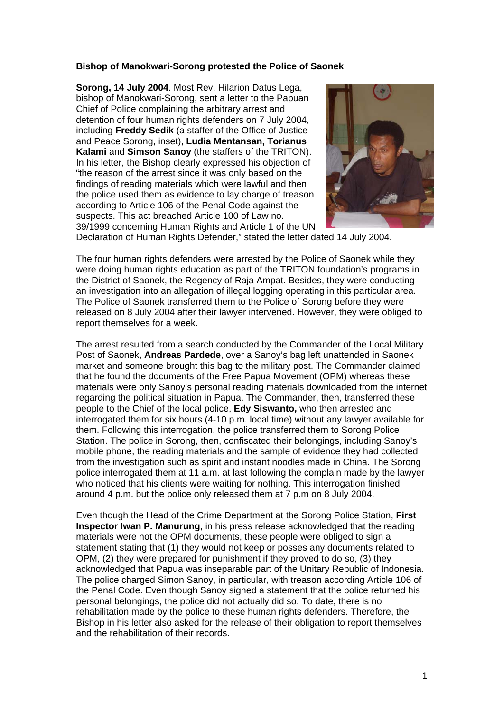## **Bishop of Manokwari-Sorong protested the Police of Saonek**

**Sorong, 14 July 2004**. Most Rev. Hilarion Datus Lega, bishop of Manokwari-Sorong, sent a letter to the Papuan Chief of Police complaining the arbitrary arrest and detention of four human rights defenders on 7 July 2004, including **Freddy Sedik** (a staffer of the Office of Justice and Peace Sorong, inset), **Ludia Mentansan, Torianus Kalami** and **Simson Sanoy** (the staffers of the TRITON). In his letter, the Bishop clearly expressed his objection of "the reason of the arrest since it was only based on the findings of reading materials which were lawful and then the police used them as evidence to lay charge of treason according to Article 106 of the Penal Code against the suspects. This act breached Article 100 of Law no. 39/1999 concerning Human Rights and Article 1 of the UN



Declaration of Human Rights Defender," stated the letter dated 14 July 2004.

The four human rights defenders were arrested by the Police of Saonek while they were doing human rights education as part of the TRITON foundation's programs in the District of Saonek, the Regency of Raja Ampat. Besides, they were conducting an investigation into an allegation of illegal logging operating in this particular area. The Police of Saonek transferred them to the Police of Sorong before they were released on 8 July 2004 after their lawyer intervened. However, they were obliged to report themselves for a week.

The arrest resulted from a search conducted by the Commander of the Local Military Post of Saonek, **Andreas Pardede**, over a Sanoy's bag left unattended in Saonek market and someone brought this bag to the military post. The Commander claimed that he found the documents of the Free Papua Movement (OPM) whereas these materials were only Sanoy's personal reading materials downloaded from the internet regarding the political situation in Papua. The Commander, then, transferred these people to the Chief of the local police, **Edy Siswanto,** who then arrested and interrogated them for six hours (4-10 p.m. local time) without any lawyer available for them. Following this interrogation, the police transferred them to Sorong Police Station. The police in Sorong, then, confiscated their belongings, including Sanoy's mobile phone, the reading materials and the sample of evidence they had collected from the investigation such as spirit and instant noodles made in China. The Sorong police interrogated them at 11 a.m. at last following the complain made by the lawyer who noticed that his clients were waiting for nothing. This interrogation finished around 4 p.m. but the police only released them at 7 p.m on 8 July 2004.

Even though the Head of the Crime Department at the Sorong Police Station, **First Inspector Iwan P. Manurung**, in his press release acknowledged that the reading materials were not the OPM documents, these people were obliged to sign a statement stating that (1) they would not keep or posses any documents related to OPM, (2) they were prepared for punishment if they proved to do so, (3) they acknowledged that Papua was inseparable part of the Unitary Republic of Indonesia. The police charged Simon Sanoy, in particular, with treason according Article 106 of the Penal Code. Even though Sanoy signed a statement that the police returned his personal belongings, the police did not actually did so. To date, there is no rehabilitation made by the police to these human rights defenders. Therefore, the Bishop in his letter also asked for the release of their obligation to report themselves and the rehabilitation of their records.